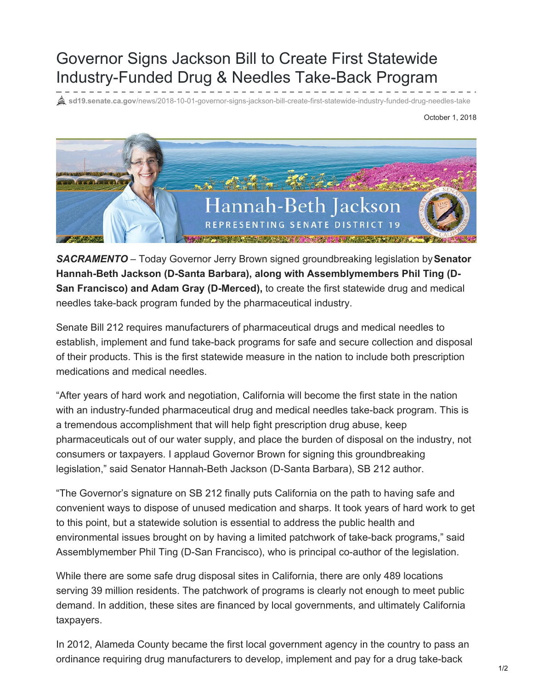## Governor Signs Jackson Bill to Create First Statewide Industry-Funded Drug & Needles Take-Back Program

**sd19.senate.ca.gov**[/news/2018-10-01-governor-signs-jackson-bill-create-first-statewide-industry-funded-drug-needles-take](https://sd19.senate.ca.gov/news/2018-10-01-governor-signs-jackson-bill-create-first-statewide-industry-funded-drug-needles-take)

October 1, 2018



*SACRAMENTO* – Today Governor Jerry Brown signed groundbreaking legislation by**Senator Hannah-Beth Jackson (D-Santa Barbara), along with Assemblymembers Phil Ting (D-San Francisco) and Adam Gray (D-Merced),** to create the first statewide drug and medical needles take-back program funded by the pharmaceutical industry.

Senate Bill 212 requires manufacturers of pharmaceutical drugs and medical needles to establish, implement and fund take-back programs for safe and secure collection and disposal of their products. This is the first statewide measure in the nation to include both prescription medications and medical needles.

"After years of hard work and negotiation, California will become the first state in the nation with an industry-funded pharmaceutical drug and medical needles take-back program. This is a tremendous accomplishment that will help fight prescription drug abuse, keep pharmaceuticals out of our water supply, and place the burden of disposal on the industry, not consumers or taxpayers. I applaud Governor Brown for signing this groundbreaking legislation," said Senator Hannah-Beth Jackson (D-Santa Barbara), SB 212 author.

"The Governor's signature on SB 212 finally puts California on the path to having safe and convenient ways to dispose of unused medication and sharps. It took years of hard work to get to this point, but a statewide solution is essential to address the public health and environmental issues brought on by having a limited patchwork of take-back programs," said Assemblymember Phil Ting (D-San Francisco), who is principal co-author of the legislation.

While there are some safe drug disposal sites in California, there are only 489 locations serving 39 million residents. The patchwork of programs is clearly not enough to meet public demand. In addition, these sites are financed by local governments, and ultimately California taxpayers.

In 2012, Alameda County became the first local government agency in the country to pass an ordinance requiring drug manufacturers to develop, implement and pay for a drug take-back